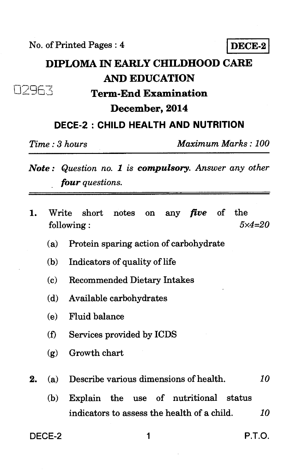No. of Printed Pages : 4 **DECE-2** 

I

## **DIPLOMA IN EARLY CHILDHOOD CARE AND EDUCATION**  - ,-<br>32963 **Term-End Examination**

### **December, 2014**

#### **DECE-2 : CHILD HEALTH AND NUTRITION**

*Time : 3 hours Maximum Marks : 100* 

- *Note : Question no. 1 is compulsory. Answer any other four questions.*
- 1. Write short notes on any *five* of the following : *5x4=20* 
	- (a) Protein sparing action of carbohydrate
	- (b) Indicators of quality of life
	- (c) Recommended Dietary Intakes
	- (d) Available carbohydrates
	- (e) Fluid balance
	- (f) Services provided by ICDS
	- (g) Growth chart
- **2.** *(a)* Describe various dimensions of health. *10* 
	- (b) Explain the use of nutritional status indicators to assess the health of a child. *10*

DECE-2 1 P.T.O.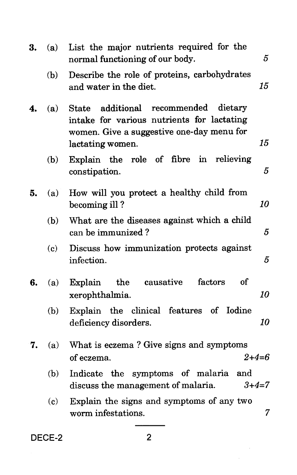| 3. | (a) | List the major nutrients required for the<br>5<br>normal functioning of our body.                                                                                         |
|----|-----|---------------------------------------------------------------------------------------------------------------------------------------------------------------------------|
|    | (b) | Describe the role of proteins, carbohydrates<br>15<br>and water in the diet.                                                                                              |
| 4. | (a) | recommended<br>additional<br>dietary<br><b>State</b><br>intake for various nutrients for lactating<br>women. Give a suggestive one-day menu for<br>15<br>lactating women. |
|    | (b) | Explain the role of fibre in<br>relieving<br>5<br>constipation.                                                                                                           |
| 5. | (a) | How will you protect a healthy child from<br>10<br>becoming ill?                                                                                                          |
|    | (b) | What are the diseases against which a child<br>can be immunized?<br>5                                                                                                     |
|    | (c) | Discuss how immunization protects against<br>infection.<br>5                                                                                                              |
| 6. | (a) | causative<br>factors<br><b>of</b><br>the<br>Explain<br>10<br>xerophthalmia.                                                                                               |
|    | (b) | Explain the clinical features of Iodine<br>10<br>deficiency disorders.                                                                                                    |
| 7. | (a) | What is eczema? Give signs and symptoms<br>$2 + 4 = 6$<br>of eczema.                                                                                                      |
|    | (b) | Indicate the symptoms of malaria<br>and<br>discuss the management of malaria.<br>$3 + 4 = 7$                                                                              |
|    | (c) | Explain the signs and symptoms of any two<br>$\overline{7}$<br>worm infestations.                                                                                         |
|    |     |                                                                                                                                                                           |

DECE-2 2

Ŷ,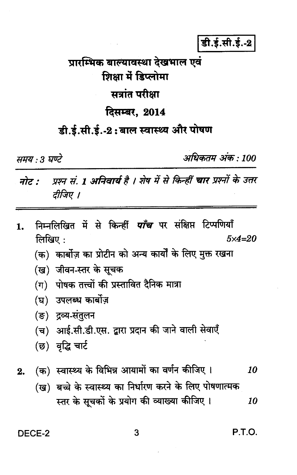डी.ई.सी.ई.-2

# प्रारम्भिक बाल्यावस्था देखभाल एवं शिक्षा में डिप्लोमा सत्रांत परीक्षा दिसम्बर, 2014

## डी.ई.सी.ई.-2:बाल स्वास्थ्य और पोषण

समय :3 घण्टे

अधिकतम् अंक : 100

- प्रश्न सं. 1 अनिवार्य है । शेष में से किन्हीं चार प्रश्नों के उत्तर नोट : दीजिए ।
- निम्नलिखित में से किन्हीं *पाँच* पर संक्षिप्त टिप्पणियाँ 1. लिखिए:  $5x4=20$ 
	- (क) कार्बोज़ का प्रोटीन को अन्य कार्यों के लिए मुक्त रखना
	- (ख) जीवन-स्तर के सूचक
	- (ग) पोषक तत्त्वों की प्रस्तावित दैनिक मात्रा
	- (घ) उपलब्ध कार्बोज़
	- (ङ) द्रव्य-संतुलन
	- (च) आई.सी.डी.एस. द्वारा प्रदान की जाने वाली सेवाएँ
	- (छ) वृद्धि चार्ट
- (क) स्वास्थ्य के विभिन्न आयामों का वर्णन कीजिए। 10  $2.$ 
	- (ख) बच्चे के स्वास्थ्य का निर्धारण करने के लिए पोषणात्मक स्तर के सूचकों के प्रयोग की व्याख्या कीजिए । 10

DECE-2

P.T.O.